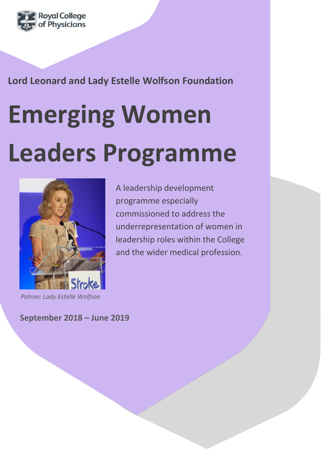

**Lord Leonard and Lady Estelle Wolfson Foundation**

# **Emerging Women Leaders Programme**



*Patron: Lady Estelle Wolfson*

A leadership development programme especially commissioned to address the underrepresentation of women in leadership roles within the College and the wider medical profession.

**September 2018 – June 2019**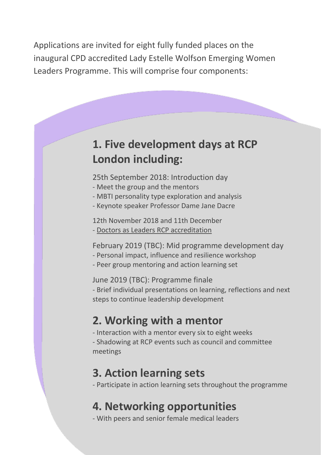Applications are invited for eight fully funded places on the inaugural CPD accredited Lady Estelle Wolfson Emerging Women Leaders Programme. This will comprise four components:

# **1. Five development days at RCP London including:**

25th September 2018: Introduction day

- Meet the group and the mentors
- MBTI personality type exploration and analysis
- Keynote speaker Professor Dame Jane Dacre
- 12th November 2018 and 11th December
- [Doctors as Leaders RCP accreditation](https://www.rcplondon.ac.uk/education-practice/course/doctors-leaders-accreditation)

February 2019 (TBC): Mid programme development day

- Personal impact, influence and resilience workshop
- Peer group mentoring and action learning set

June 2019 (TBC): Programme finale

- Brief individual presentations on learning, reflections and next steps to continue leadership development

#### **2. Working with a mentor**

- Interaction with a mentor every six to eight weeks - Shadowing at RCP events such as council and committee meetings

#### **3. Action learning sets**

- Participate in action learning sets throughout the programme

#### **4. Networking opportunities**

- With peers and senior female medical leaders